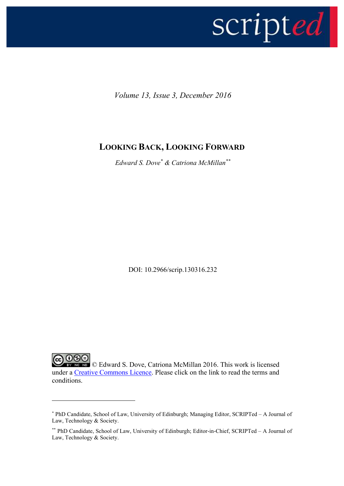

*Volume 13, Issue 3, December 2016*

## **LOOKING BACK, LOOKING FORWARD**

*Edward S. Dove\* & Catriona McMillan\*\**

DOI: 10.2966/scrip.130316.232

COOO Edward S. Dove, Catriona McMillan 2016. This work is licensed under a [Creative Commons Licence.](http://creativecommons.org/licenses/by-nc-nd/2.5/scotland/) Please click on the link to read the terms and conditions.

1

<sup>\*</sup> PhD Candidate, School of Law, University of Edinburgh; Managing Editor, SCRIPTed – A Journal of Law, Technology & Society.

<sup>\*\*</sup> PhD Candidate, School of Law, University of Edinburgh; Editor-in-Chief, SCRIPTed – A Journal of Law, Technology & Society.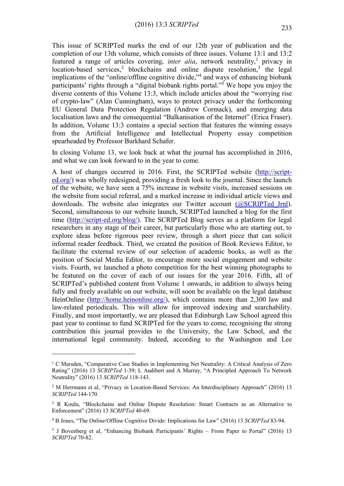This issue of SCRIPTed marks the end of our 12th year of publication and the completion of our 13th volume, which consists of three issues. Volume 13:1 and 13:2 featured a range of articles covering, *inter alia*, network neutrality,<sup>1</sup> privacy in location-based services,<sup>2</sup> blockchains and online dispute resolution,<sup>3</sup> the legal implications of the "online/offline cognitive divide,"<sup>4</sup> and ways of enhancing biobank participants' rights through a "digital biobank rights portal."<sup>5</sup> We hope you enjoy the diverse contents of this Volume 13:3, which include articles about the "worrying rise of crypto-law" (Alan Cunningham), ways to protect privacy under the forthcoming EU General Data Protection Regulation (Andrew Cormack), and emerging data localisation laws and the consequential "Balkanisation of the Internet" (Erica Fraser). In addition, Volume 13:3 contains a special section that features the winning essays from the Artificial Intelligence and Intellectual Property essay competition spearheaded by Professor Burkhard Schafer.

In closing Volume 13, we look back at what the journal has accomplished in 2016, and what we can look forward to in the year to come.

A host of changes occurred in 2016. First, the SCRIPTed website [\(http://script](http://script-ed.org/)[ed.org/\)](http://script-ed.org/) was wholly redesigned, providing a fresh look to the journal. Since the launch of the website, we have seen a 75% increase in website visits, increased sessions on the website from social referral, and a marked increase in individual article views and downloads. The website also integrates our Twitter account  $(QSCRIPTed Jrn)$ . Second, simultaneous to our website launch, SCRIPTed launched a blog for the first time [\(http://script-ed.org/blog/\)](http://script-ed.org/blog/). The SCRIPTed Blog serves as a platform for legal researchers in any stage of their career, but particularly those who are starting out, to explore ideas before rigorous peer review, through a short piece that can solicit informal reader feedback. Third, we created the position of Book Reviews Editor, to facilitate the external review of our selection of academic books, as well as the position of Social Media Editor, to encourage more social engagement and website visits. Fourth, we launched a photo competition for the best winning photographs to be featured on the cover of each of our issues for the year 2016. Fifth, all of SCRIPTed's published content from Volume 1 onwards, in addition to always being fully and freely available on our website, will soon be available on the legal database HeinOnline [\(http://home.heinonline.org/\)](http://home.heinonline.org/), which contains more than 2,300 law and law-related periodicals. This will allow for improved indexing and searchability. Finally, and most importantly, we are pleased that Edinburgh Law School agreed this past year to continue to fund SCRIPTed for the years to come, recognising the strong contribution this journal provides to the University, the Law School, and the international legal community. Indeed, according to the Washington and Lee

1

<sup>&</sup>lt;sup>1</sup> C Marsden, "Comparative Case Studies in Implementing Net Neutrality: A Critical Analysis of Zero Rating" (2016) 13 *SCRIPTed* 1-39; L Audibert and A Murray, "A Principled Approach To Network Neutrality" (2016) 13 *SCRIPTed* 118-143.

<sup>&</sup>lt;sup>2</sup> M Herrmann et al, "Privacy in Location-Based Services: An Interdisciplinary Approach" (2016) 13 *SCRIPTed* 144-170.

<sup>&</sup>lt;sup>3</sup> R Koulu, "Blockchains and Online Dispute Resolution: Smart Contracts as an Alternative to Enforcement" (2016) 13 *SCRIPTed* 40-69.

<sup>4</sup> B Jones, "The Online/Offline Cognitive Divide: Implications for Law" (2016) 13 *SCRIPTed* 83-94.

<sup>&</sup>lt;sup>5</sup> J Bovenberg et al, "Enhancing Biobank Participants' Rights – From Paper to Portal" (2016) 13 *SCRIPTed* 70-82.